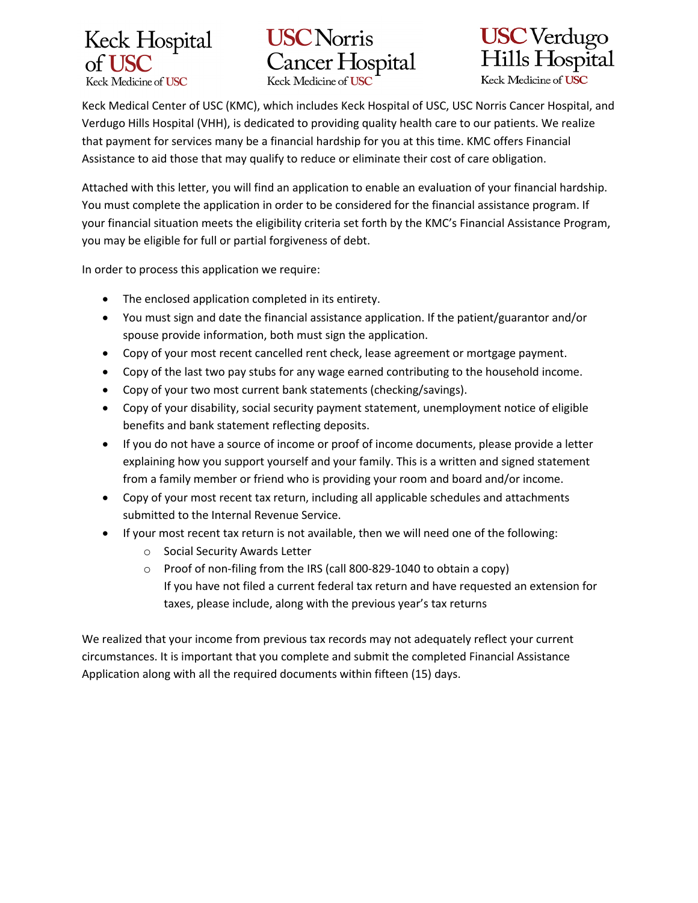





 Keck Medical Center of USC (KMC), which includes Keck Hospital of USC, USC Norris Cancer Hospital, and Verdugo Hills Hospital (VHH), is dedicated to providing quality health care to our patients. We realize that payment for services many be a financial hardship for you at this time. KMC offers Financial Assistance to aid those that may qualify to reduce or eliminate their cost of care obligation.

Attached with this letter, you will find an application to enable an evaluation of your financial hardship. You must complete the application in order to be considered for the financial assistance program. If your financial situation meets the eligibility criteria set forth by the KMC's Financial Assistance Program, you may be eligible for full or partial forgiveness of debt.

In order to process this application we require:

- The enclosed application completed in its entirety.
- You must sign and date the financial assistance application. If the patient/guarantor and/or spouse provide information, both must sign the application.
- Copy of your most recent cancelled rent check, lease agreement or mortgage payment.
- Copy of the last two pay stubs for any wage earned contributing to the household income.
- Copy of your two most current bank statements (checking/savings).
- Copy of your disability, social security payment statement, unemployment notice of eligible benefits and bank statement reflecting deposits.
- If you do not have a source of income or proof of income documents, please provide a letter explaining how you support yourself and your family. This is a written and signed statement from a family member or friend who is providing your room and board and/or income.
- Copy of your most recent tax return, including all applicable schedules and attachments submitted to the Internal Revenue Service.
- If your most recent tax return is not available, then we will need one of the following:
	- o Social Security Awards Letter
	- o Proof of non-filing from the IRS (call 800-829-1040 to obtain a copy) If you have not filed a current federal tax return and have requested an extension for taxes, please include, along with the previous year's tax returns

We realized that your income from previous tax records may not adequately reflect your current circumstances. It is important that you complete and submit the completed Financial Assistance Application along with all the required documents within fifteen (15) days.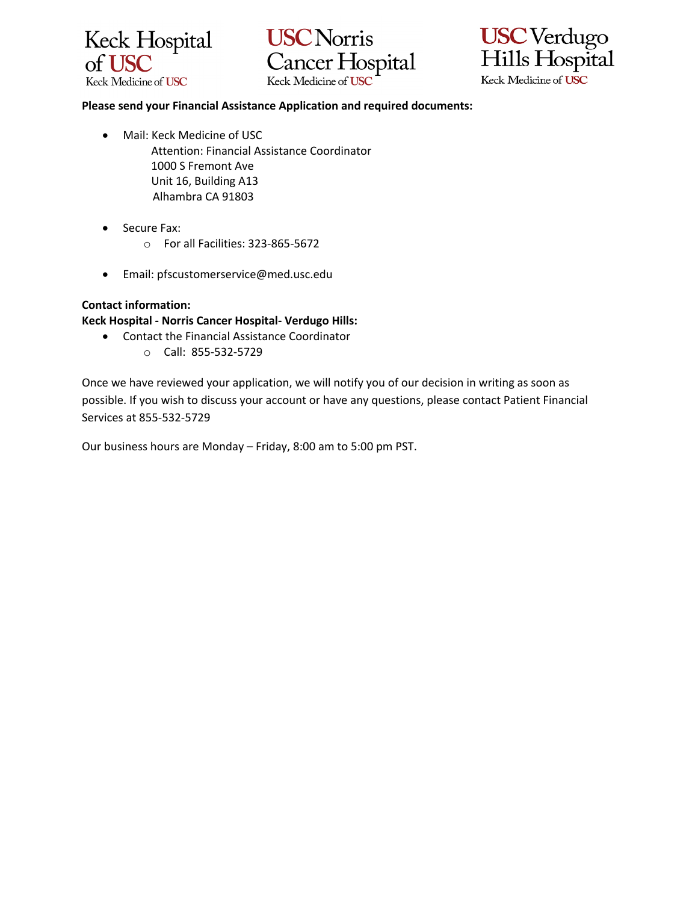





#### **Please send your Financial Assistance Application and required documents:**

- Mail: Keck Medicine of USC Attention: Financial Assistance Coordinator 1000 S Fremont Ave Unit 16, Building A13 Alhambra CA 91803
- Secure Fax:
	- o For all Facilities: 323-865-5672
- Email: pfscustomerservice@med.usc.edu

### **Contact information:**

**Keck Hospital - Norris Cancer Hospital- Verdugo Hills:**

- Contact the Financial Assistance Coordinator
	- o Call: 855-532-5729

Once we have reviewed your application, we will notify you of our decision in writing as soon as possible. If you wish to discuss your account or have any questions, please contact Patient Financial Services at 855-532-5729

Our business hours are Monday – Friday, 8:00 am to 5:00 pm PST.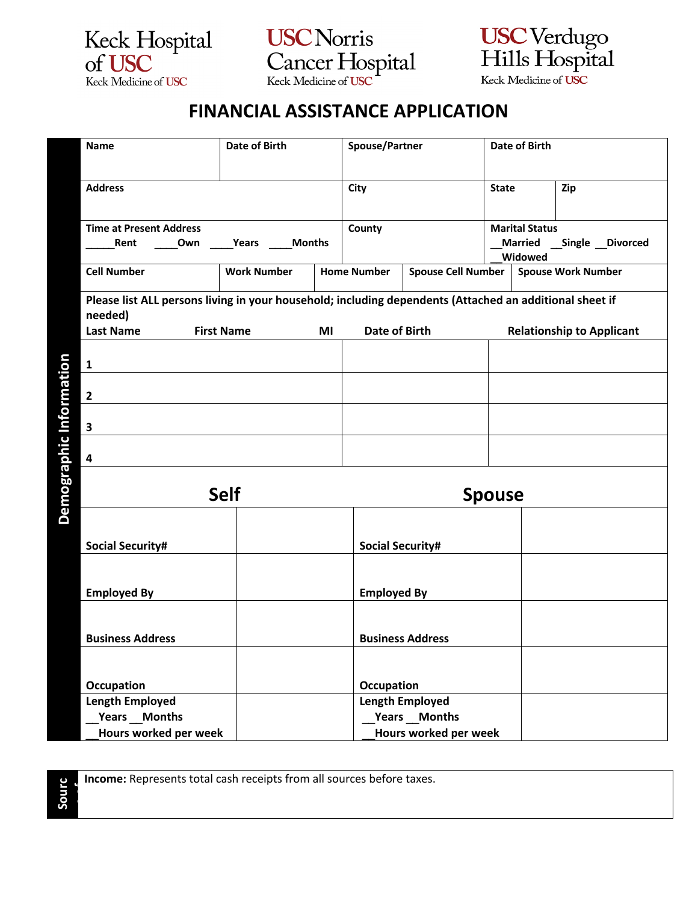

**USC** Norris Cancer Hospital



# **FINANCIAL ASSISTANCE APPLICATION**

| Name                                                                                                               | Date of Birth          |                      | Spouse/Partner          | <b>Date of Birth</b>    |                                  |                           |                           |                 |
|--------------------------------------------------------------------------------------------------------------------|------------------------|----------------------|-------------------------|-------------------------|----------------------------------|---------------------------|---------------------------|-----------------|
| <b>Address</b>                                                                                                     |                        |                      | City                    |                         |                                  | <b>State</b>              | Zip                       |                 |
|                                                                                                                    |                        |                      |                         |                         |                                  |                           |                           |                 |
| <b>Time at Present Address</b>                                                                                     |                        |                      | County                  | <b>Marital Status</b>   |                                  |                           |                           |                 |
| Rent<br>Own                                                                                                        | Years<br><b>Months</b> |                      |                         |                         |                                  | <b>Married</b><br>Widowed |                           | Single Divorced |
| <b>Cell Number</b>                                                                                                 | <b>Work Number</b>     |                      | <b>Home Number</b>      | Spouse Cell Number      |                                  |                           | <b>Spouse Work Number</b> |                 |
| Please list ALL persons living in your household; including dependents (Attached an additional sheet if<br>needed) |                        |                      |                         |                         |                                  |                           |                           |                 |
| <b>Last Name</b><br><b>First Name</b>                                                                              | MI                     | <b>Date of Birth</b> |                         |                         | <b>Relationship to Applicant</b> |                           |                           |                 |
| $\mathbf{1}$                                                                                                       |                        |                      |                         |                         |                                  |                           |                           |                 |
| $\overline{2}$                                                                                                     |                        |                      |                         |                         |                                  |                           |                           |                 |
| $\overline{\mathbf{3}}$                                                                                            |                        |                      |                         |                         |                                  |                           |                           |                 |
| 4                                                                                                                  |                        |                      |                         |                         |                                  |                           |                           |                 |
|                                                                                                                    | <b>Self</b>            |                      |                         |                         |                                  |                           |                           |                 |
|                                                                                                                    |                        |                      |                         |                         | <b>Spouse</b>                    |                           |                           |                 |
|                                                                                                                    |                        |                      |                         |                         |                                  |                           |                           |                 |
| <b>Social Security#</b>                                                                                            |                        |                      | <b>Social Security#</b> |                         |                                  |                           |                           |                 |
| <b>Employed By</b>                                                                                                 |                        |                      | <b>Employed By</b>      |                         |                                  |                           |                           |                 |
| <b>Business Address</b>                                                                                            |                        |                      |                         | <b>Business Address</b> |                                  |                           |                           |                 |
|                                                                                                                    |                        |                      |                         |                         |                                  |                           |                           |                 |
| Occupation                                                                                                         |                        |                      | Occupation              |                         |                                  |                           |                           |                 |
| <b>Length Employed</b>                                                                                             |                        |                      |                         | <b>Length Employed</b>  |                                  |                           |                           |                 |
| Years Months                                                                                                       |                        |                      |                         | Years Months            |                                  |                           |                           |                 |
| Hours worked per week                                                                                              | Hours worked per week  |                      |                         |                         |                                  |                           |                           |                 |



 $\mathbf{r}$ 

**Income:** Represents total cash receipts from all sources before taxes.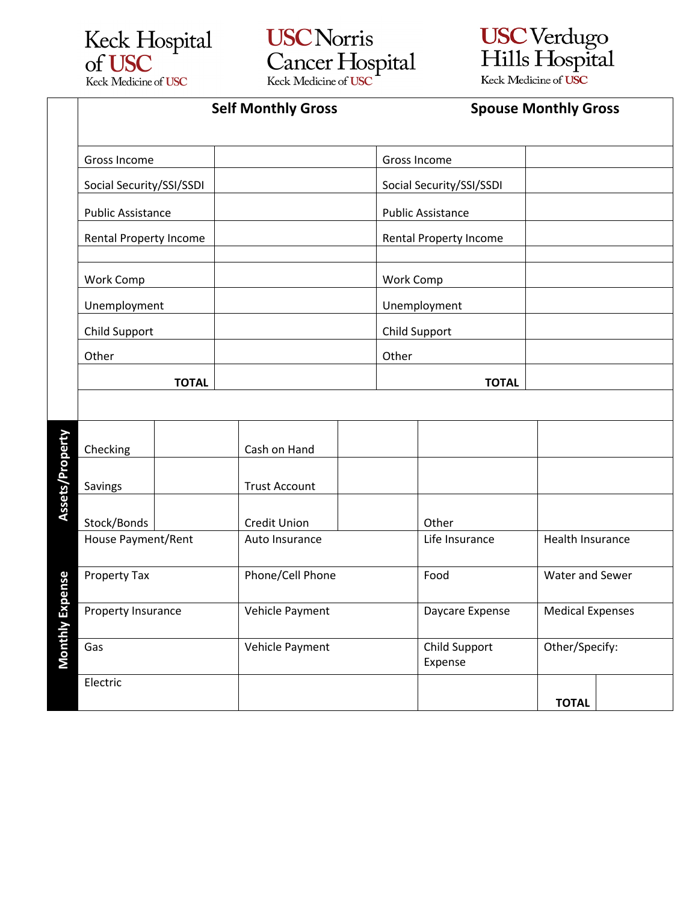

**USC** Norris Cancer Hospital



 $\overline{a}$ 

Self Monthly Gross **Spouse Monthly Gross** 

|                 | Gross Income                          |  |                  |                          |              |                  | Gross Income                  |                  |  |
|-----------------|---------------------------------------|--|------------------|--------------------------|--------------|------------------|-------------------------------|------------------|--|
|                 | Social Security/SSI/SSDI              |  |                  |                          |              |                  | Social Security/SSI/SSDI      |                  |  |
|                 | <b>Public Assistance</b>              |  |                  | <b>Public Assistance</b> |              |                  |                               |                  |  |
|                 | Rental Property Income                |  |                  |                          |              |                  | <b>Rental Property Income</b> |                  |  |
|                 | <b>Work Comp</b>                      |  |                  |                          |              | <b>Work Comp</b> |                               |                  |  |
|                 | Unemployment                          |  |                  |                          |              |                  | Unemployment                  |                  |  |
|                 | <b>Child Support</b>                  |  |                  |                          |              |                  | Child Support                 |                  |  |
|                 | Other                                 |  |                  |                          |              | Other            |                               |                  |  |
|                 | <b>TOTAL</b>                          |  |                  |                          | <b>TOTAL</b> |                  |                               |                  |  |
|                 |                                       |  |                  |                          |              |                  |                               |                  |  |
|                 | Checking                              |  |                  | Cash on Hand             |              |                  |                               |                  |  |
| Assets/Property | Savings                               |  |                  | <b>Trust Account</b>     |              |                  |                               |                  |  |
|                 | Stock/Bonds                           |  |                  | <b>Credit Union</b>      |              |                  | Other                         |                  |  |
|                 | House Payment/Rent                    |  |                  | Auto Insurance           |              |                  | Life Insurance                | Health Insurance |  |
|                 | Property Tax                          |  | Phone/Cell Phone |                          |              |                  | Food                          | Water and Sewer  |  |
| Monthly Expense | Property Insurance<br>Vehicle Payment |  |                  |                          |              | Daycare Expense  | <b>Medical Expenses</b>       |                  |  |
|                 | Gas                                   |  |                  | Vehicle Payment          |              |                  | Child Support<br>Expense      | Other/Specify:   |  |
|                 | Electric                              |  |                  |                          |              |                  |                               | <b>TOTAL</b>     |  |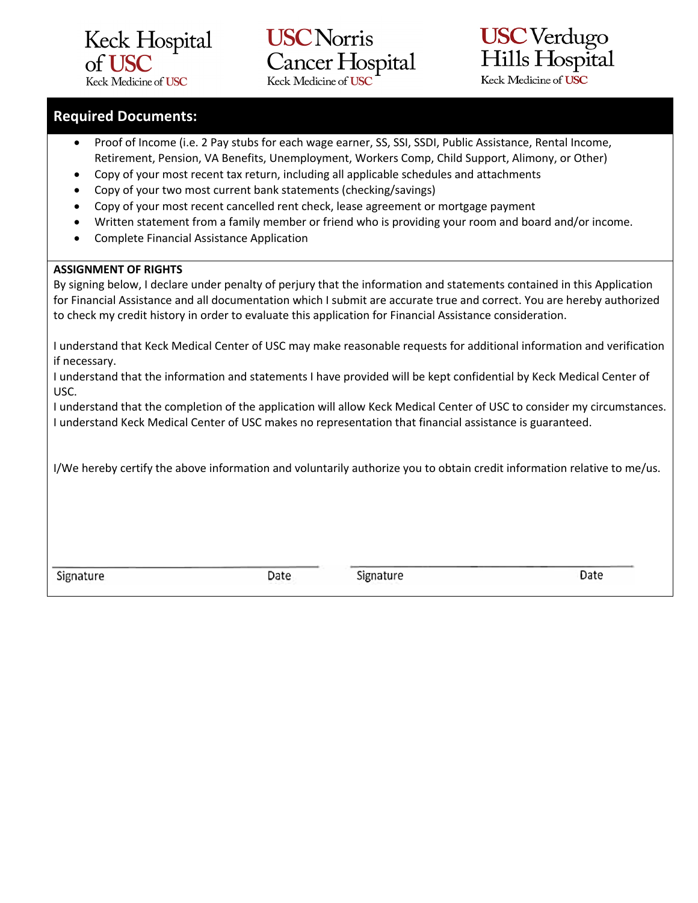

## **USC** Norris **Cancer Hospital** Keck Medicine of USC



### **Required Documents:**

- Proof of Income (i.e. 2 Pay stubs for each wage earner, SS, SSI, SSDI, Public Assistance, Rental Income, Retirement, Pension, VA Benefits, Unemployment, Workers Comp, Child Support, Alimony, or Other)
- Copy of your most recent tax return, including all applicable schedules and attachments
- Copy of your two most current bank statements (checking/savings)
- Copy of your most recent cancelled rent check, lease agreement or mortgage payment
- Written statement from a family member or friend who is providing your room and board and/or income.
- Complete Financial Assistance Application

#### **ASSIGNMENT OF RIGHTS**

By signing below, I declare under penalty of perjury that the information and statements contained in this Application for Financial Assistance and all documentation which I submit are accurate true and correct. You are hereby authorized to check my credit history in order to evaluate this application for Financial Assistance consideration.

I understand that Keck Medical Center of USC may make reasonable requests for additional information and verification if necessary.

I understand that the information and statements I have provided will be kept confidential by Keck Medical Center of USC.

I understand that the completion of the application will allow Keck Medical Center of USC to consider my circumstances. I understand Keck Medical Center of USC makes no representation that financial assistance is guaranteed.

I/We hereby certify the above information and voluntarily authorize you to obtain credit information relative to me/us.

Signature

Date

Signature

Date